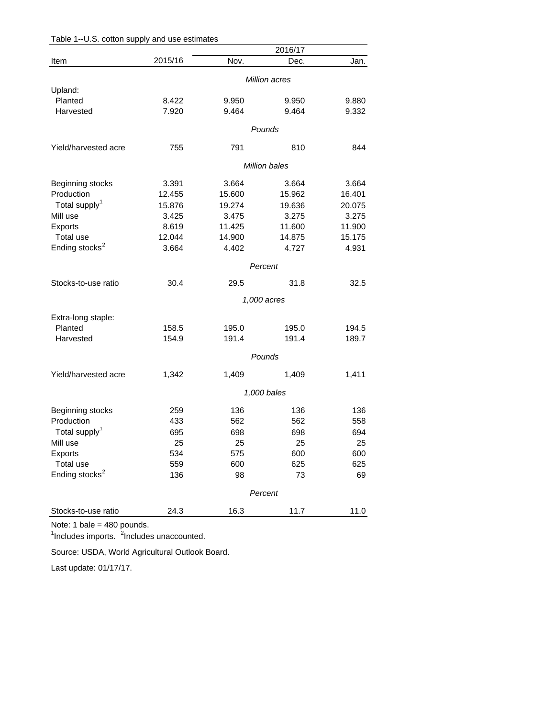| Table 1--U.S. cotton supply and use estimates |  |  |  |  |  |  |  |
|-----------------------------------------------|--|--|--|--|--|--|--|
|-----------------------------------------------|--|--|--|--|--|--|--|

|                            |         |        | 2016/17       |        |  |
|----------------------------|---------|--------|---------------|--------|--|
| Item                       | 2015/16 | Nov.   | Dec.          | Jan.   |  |
|                            |         |        | Million acres |        |  |
| Upland:                    |         |        |               |        |  |
| Planted                    | 8.422   | 9.950  | 9.950         | 9.880  |  |
| Harvested                  | 7.920   | 9.464  | 9.464         | 9.332  |  |
|                            |         |        | Pounds        |        |  |
| Yield/harvested acre       | 755     | 791    | 810           | 844    |  |
|                            |         |        | Million bales |        |  |
|                            |         |        |               |        |  |
| Beginning stocks           | 3.391   | 3.664  | 3.664         | 3.664  |  |
| Production                 | 12.455  | 15.600 | 15.962        | 16.401 |  |
| Total supply <sup>1</sup>  | 15.876  | 19.274 | 19.636        | 20.075 |  |
| Mill use                   | 3.425   | 3.475  | 3.275         | 3.275  |  |
| Exports                    | 8.619   | 11.425 | 11.600        | 11.900 |  |
| Total use                  | 12.044  | 14.900 | 14.875        | 15.175 |  |
| Ending stocks <sup>2</sup> | 3.664   | 4.402  | 4.727         | 4.931  |  |
|                            | Percent |        |               |        |  |
| Stocks-to-use ratio        | 30.4    | 29.5   | 31.8          | 32.5   |  |
|                            |         |        | 1,000 acres   |        |  |
|                            |         |        |               |        |  |
| Extra-long staple:         |         |        |               |        |  |
| Planted                    | 158.5   | 195.0  | 195.0         | 194.5  |  |
| Harvested                  | 154.9   | 191.4  | 191.4         | 189.7  |  |
|                            |         |        | Pounds        |        |  |
| Yield/harvested acre       | 1,342   | 1,409  | 1,409         | 1,411  |  |
|                            |         |        | 1,000 bales   |        |  |
| Beginning stocks           | 259     | 136    | 136           | 136    |  |
| Production                 | 433     | 562    | 562           | 558    |  |
| Total supply <sup>1</sup>  | 695     | 698    | 698           | 694    |  |
| Mill use                   | 25      | 25     | 25            | 25     |  |
| <b>Exports</b>             | 534     | 575    | 600           | 600    |  |
| Total use                  | 559     | 600    | 625           | 625    |  |
| Ending stocks <sup>2</sup> | 136     | 98     | 73            | 69     |  |
|                            |         |        |               |        |  |
|                            |         |        | Percent       |        |  |
| Stocks-to-use ratio        | 24.3    | 16.3   | 11.7          | 11.0   |  |

Note: 1 bale = 480 pounds.

<sup>1</sup>Includes imports. <sup>2</sup>Includes unaccounted.

Source: USDA, World Agricultural Outlook Board.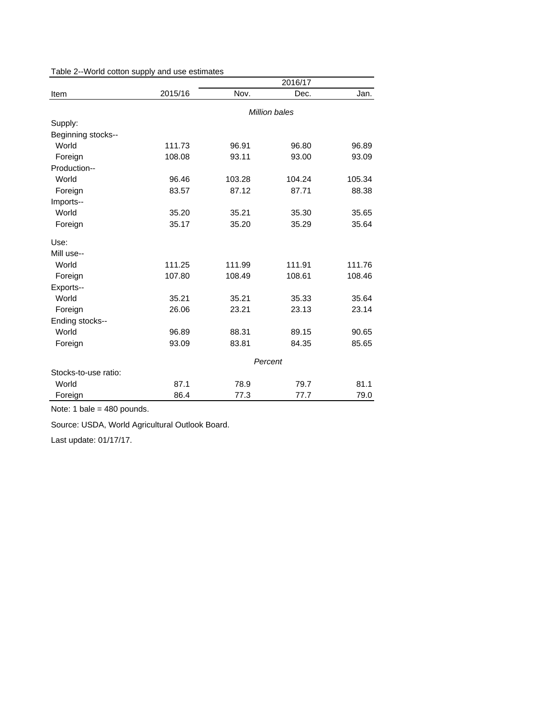Table 2--World cotton supply and use estimates

|                      |         | 2016/17       |         |        |  |
|----------------------|---------|---------------|---------|--------|--|
| Item                 | 2015/16 | Nov.          | Dec.    | Jan.   |  |
|                      |         | Million bales |         |        |  |
| Supply:              |         |               |         |        |  |
| Beginning stocks--   |         |               |         |        |  |
| World                | 111.73  | 96.91         | 96.80   | 96.89  |  |
| Foreign              | 108.08  | 93.11         | 93.00   | 93.09  |  |
| Production--         |         |               |         |        |  |
| World                | 96.46   | 103.28        | 104.24  | 105.34 |  |
| Foreign              | 83.57   | 87.12         | 87.71   | 88.38  |  |
| Imports--            |         |               |         |        |  |
| World                | 35.20   | 35.21         | 35.30   | 35.65  |  |
| Foreign              | 35.17   | 35.20         | 35.29   | 35.64  |  |
| Use:                 |         |               |         |        |  |
| Mill use--           |         |               |         |        |  |
| World                | 111.25  | 111.99        | 111.91  | 111.76 |  |
| Foreign              | 107.80  | 108.49        | 108.61  | 108.46 |  |
| Exports--            |         |               |         |        |  |
| World                | 35.21   | 35.21         | 35.33   | 35.64  |  |
| Foreign              | 26.06   | 23.21         | 23.13   | 23.14  |  |
| Ending stocks--      |         |               |         |        |  |
| World                | 96.89   | 88.31         | 89.15   | 90.65  |  |
| Foreign              | 93.09   | 83.81         | 84.35   | 85.65  |  |
|                      |         |               | Percent |        |  |
| Stocks-to-use ratio: |         |               |         |        |  |
| World                | 87.1    | 78.9          | 79.7    | 81.1   |  |
| Foreign              | 86.4    | 77.3          | 77.7    | 79.0   |  |

Note: 1 bale = 480 pounds.

Source: USDA, World Agricultural Outlook Board.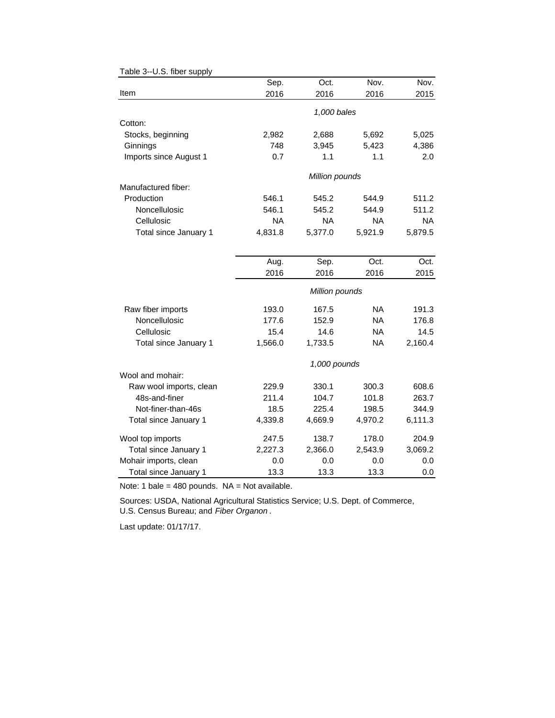|                         | Sep.      | Oct.           | Nov.      | Nov.      |
|-------------------------|-----------|----------------|-----------|-----------|
| Item                    | 2016      | 2016           | 2016      | 2015      |
|                         |           | 1,000 bales    |           |           |
| Cotton:                 |           |                |           |           |
| Stocks, beginning       | 2,982     | 2,688          | 5,692     | 5,025     |
| Ginnings                | 748       | 3,945          | 5,423     | 4,386     |
| Imports since August 1  | 0.7       | 1.1            | 1.1       | 2.0       |
|                         |           | Million pounds |           |           |
| Manufactured fiber:     |           |                |           |           |
| Production              | 546.1     | 545.2          | 544.9     | 511.2     |
| Noncellulosic           | 546.1     | 545.2          | 544.9     | 511.2     |
| Cellulosic              | <b>NA</b> | <b>NA</b>      | <b>NA</b> | <b>NA</b> |
| Total since January 1   | 4,831.8   | 5,377.0        | 5,921.9   | 5,879.5   |
|                         |           |                |           |           |
|                         | Aug.      | Sep.           | Oct.      | Oct.      |
|                         | 2016      | 2016           | 2016      | 2015      |
|                         |           | Million pounds |           |           |
| Raw fiber imports       | 193.0     | 167.5          | <b>NA</b> | 191.3     |
| Noncellulosic           | 177.6     | 152.9          | <b>NA</b> | 176.8     |
| Cellulosic              | 15.4      | 14.6           | <b>NA</b> | 14.5      |
| Total since January 1   | 1,566.0   | 1,733.5        | <b>NA</b> | 2,160.4   |
|                         |           | 1,000 pounds   |           |           |
| Wool and mohair:        |           |                |           |           |
| Raw wool imports, clean | 229.9     | 330.1          | 300.3     | 608.6     |
| 48s-and-finer           | 211.4     | 104.7          | 101.8     | 263.7     |
| Not-finer-than-46s      | 18.5      | 225.4          | 198.5     | 344.9     |
| Total since January 1   | 4,339.8   | 4,669.9        | 4,970.2   | 6,111.3   |
| Wool top imports        | 247.5     | 138.7          | 178.0     | 204.9     |
| Total since January 1   | 2,227.3   | 2,366.0        | 2,543.9   | 3,069.2   |
| Mohair imports, clean   | 0.0       | 0.0            | 0.0       | 0.0       |
| Total since January 1   | 13.3      | 13.3           | 13.3      | 0.0       |

Table 3--U.S. fiber supply

Note: 1 bale =  $480$  pounds. NA = Not available.

Sources: USDA, National Agricultural Statistics Service; U.S. Dept. of Commerce, U.S. Census Bureau; and *Fiber Organon* .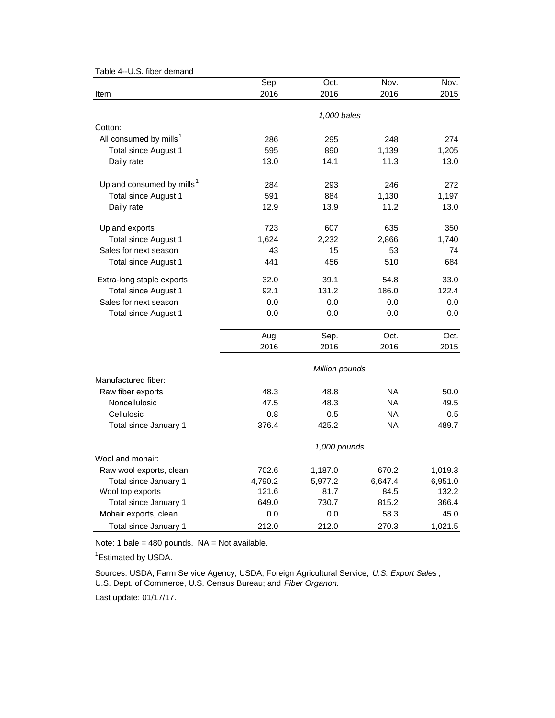| Table 4--0.5. liber gerildrig         | Sep.           | Oct.        | Nov.      | Nov.    |  |  |
|---------------------------------------|----------------|-------------|-----------|---------|--|--|
| Item                                  | 2016           | 2016        | 2016      | 2015    |  |  |
|                                       |                | 1,000 bales |           |         |  |  |
| Cotton:                               |                |             |           |         |  |  |
| All consumed by mills <sup>1</sup>    | 286            | 295         | 248       | 274     |  |  |
| <b>Total since August 1</b>           | 595            | 890         | 1,139     | 1,205   |  |  |
| Daily rate                            | 13.0           | 14.1        | 11.3      | 13.0    |  |  |
| Upland consumed by mills <sup>1</sup> | 284            | 293         | 246       | 272     |  |  |
| <b>Total since August 1</b>           | 591            | 884         | 1,130     | 1,197   |  |  |
| Daily rate                            | 12.9           | 13.9        | 11.2      | 13.0    |  |  |
| Upland exports                        | 723            | 607         | 635       | 350     |  |  |
| Total since August 1                  | 1,624          | 2,232       | 2,866     | 1,740   |  |  |
| Sales for next season                 | 43             | 15          | 53        | 74      |  |  |
| Total since August 1                  | 441            | 456         | 510       | 684     |  |  |
| Extra-long staple exports             | 32.0           | 39.1        | 54.8      | 33.0    |  |  |
| <b>Total since August 1</b>           | 92.1           | 131.2       | 186.0     | 122.4   |  |  |
| Sales for next season                 | 0.0            | 0.0         | 0.0       | 0.0     |  |  |
| Total since August 1                  | 0.0            | 0.0         | 0.0       | 0.0     |  |  |
|                                       | Aug.           | Sep.        | Oct.      | Oct.    |  |  |
|                                       | 2016           | 2016        | 2016      | 2015    |  |  |
|                                       | Million pounds |             |           |         |  |  |
| Manufactured fiber:                   |                |             |           |         |  |  |
| Raw fiber exports                     | 48.3           | 48.8        | NA.       | 50.0    |  |  |
| Noncellulosic                         | 47.5           | 48.3        | <b>NA</b> | 49.5    |  |  |
| Cellulosic                            | 0.8            | 0.5         | <b>NA</b> | 0.5     |  |  |
| Total since January 1                 | 376.4          | 425.2       | NA        | 489.7   |  |  |
|                                       | 1,000 pounds   |             |           |         |  |  |
| Wool and mohair:                      |                |             |           |         |  |  |
| Raw wool exports, clean               | 702.6          | 1,187.0     | 670.2     | 1,019.3 |  |  |
| Total since January 1                 | 4,790.2        | 5,977.2     | 6,647.4   | 6,951.0 |  |  |
| Wool top exports                      | 121.6          | 81.7        | 84.5      | 132.2   |  |  |
| Total since January 1                 | 649.0          | 730.7       | 815.2     | 366.4   |  |  |
| Mohair exports, clean                 | 0.0            | 0.0         | 58.3      | 45.0    |  |  |
| Total since January 1                 | 212.0          | 212.0       | 270.3     | 1,021.5 |  |  |

Table 4--U.S. fiber demand

Note: 1 bale = 480 pounds.  $NA = Not available$ .

<sup>1</sup> Estimated by USDA.

Sources: USDA, Farm Service Agency; USDA, Foreign Agricultural Service, *U.S. Export Sales* ; U.S. Dept. of Commerce, U.S. Census Bureau; and *Fiber Organon.*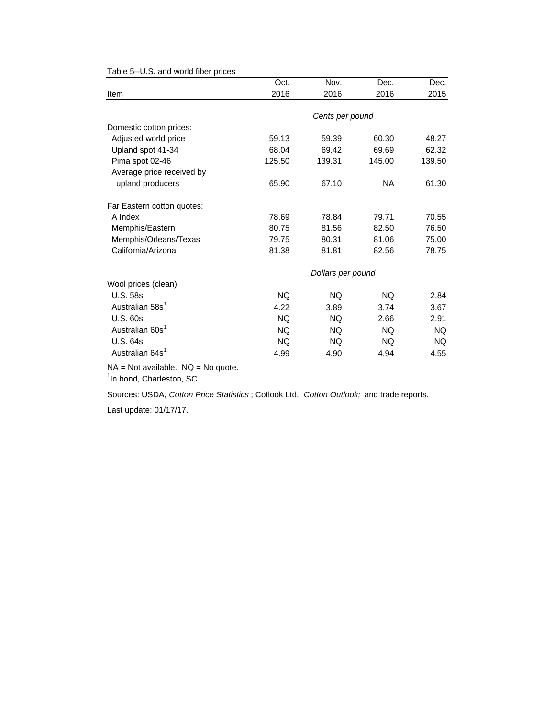|                             | Oct.      | Nov.              | Dec.      | Dec.      |
|-----------------------------|-----------|-------------------|-----------|-----------|
| Item                        | 2016      | 2016              | 2016      | 2015      |
|                             |           |                   |           |           |
|                             |           | Cents per pound   |           |           |
| Domestic cotton prices:     |           |                   |           |           |
| Adjusted world price        | 59.13     | 59.39             | 60.30     | 48.27     |
| Upland spot 41-34           | 68.04     | 69.42             | 69.69     | 62.32     |
| Pima spot 02-46             | 125.50    | 139.31            | 145.00    | 139.50    |
| Average price received by   |           |                   |           |           |
| upland producers            | 65.90     | 67.10             | <b>NA</b> | 61.30     |
| Far Eastern cotton quotes:  |           |                   |           |           |
| A Index                     | 78.69     | 78.84             | 79.71     | 70.55     |
| Memphis/Eastern             | 80.75     | 81.56             | 82.50     | 76.50     |
| Memphis/Orleans/Texas       | 79.75     | 80.31             | 81.06     | 75.00     |
| California/Arizona          | 81.38     | 81.81             | 82.56     | 78.75     |
|                             |           | Dollars per pound |           |           |
| Wool prices (clean):        |           |                   |           |           |
| <b>U.S. 58s</b>             | <b>NQ</b> | NQ.               | <b>NQ</b> | 2.84      |
| Australian 58s <sup>1</sup> | 4.22      | 3.89              | 3.74      | 3.67      |
| <b>U.S. 60s</b>             | <b>NQ</b> | <b>NQ</b>         | 2.66      | 2.91      |
| Australian 60s <sup>1</sup> | <b>NQ</b> | <b>NQ</b>         | <b>NQ</b> | <b>NQ</b> |
| <b>U.S. 64s</b>             | NQ.       | NQ.               | NQ.       | NQ.       |
| Australian 64s <sup>1</sup> | 4.99      | 4.90              | 4.94      | 4.55      |

Table 5--U.S. and world fiber prices

 $NA = Not available.$   $NQ = No$  quote.

<sup>1</sup>In bond, Charleston, SC.

Sources: USDA, *Cotton Price Statistics* ; Cotlook Ltd., *Cotton Outlook;* and trade reports.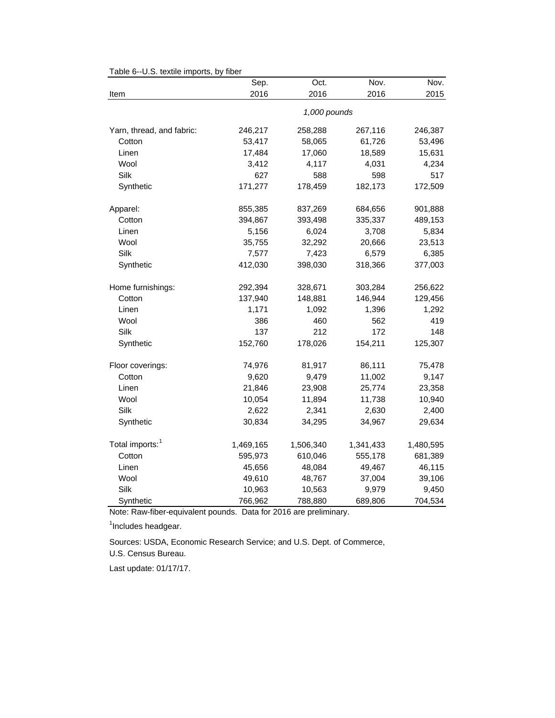|                             | Sep.      | Oct.         | Nov.      | Nov.      |
|-----------------------------|-----------|--------------|-----------|-----------|
| Item                        | 2016      | 2016         | 2016      | 2015      |
|                             |           | 1,000 pounds |           |           |
| Yarn, thread, and fabric:   | 246,217   | 258,288      | 267,116   | 246,387   |
| Cotton                      | 53,417    | 58,065       | 61,726    | 53,496    |
| Linen                       | 17,484    | 17,060       | 18,589    | 15,631    |
| Wool                        | 3,412     | 4,117        | 4,031     | 4,234     |
| Silk                        | 627       | 588          | 598       | 517       |
| Synthetic                   | 171,277   | 178,459      | 182,173   | 172,509   |
| Apparel:                    | 855,385   | 837,269      | 684,656   | 901,888   |
| Cotton                      | 394,867   | 393,498      | 335,337   | 489,153   |
| Linen                       | 5,156     | 6,024        | 3,708     | 5,834     |
| Wool                        | 35,755    | 32,292       | 20,666    | 23,513    |
| Silk                        | 7,577     | 7,423        | 6,579     | 6,385     |
| Synthetic                   | 412,030   | 398,030      | 318,366   | 377,003   |
| Home furnishings:           | 292,394   | 328,671      | 303,284   | 256,622   |
| Cotton                      | 137,940   | 148,881      | 146,944   | 129,456   |
| Linen                       | 1,171     | 1,092        | 1,396     | 1,292     |
| Wool                        | 386       | 460          | 562       | 419       |
| Silk                        | 137       | 212          | 172       | 148       |
| Synthetic                   | 152,760   | 178,026      | 154,211   | 125,307   |
| Floor coverings:            | 74,976    | 81,917       | 86,111    | 75,478    |
| Cotton                      | 9,620     | 9,479        | 11,002    | 9,147     |
| Linen                       | 21,846    | 23,908       | 25,774    | 23,358    |
| Wool                        | 10,054    | 11,894       | 11,738    | 10,940    |
| Silk                        | 2,622     | 2,341        | 2,630     | 2,400     |
| Synthetic                   | 30,834    | 34,295       | 34,967    | 29,634    |
| Total imports: <sup>1</sup> | 1,469,165 | 1,506,340    | 1,341,433 | 1,480,595 |
| Cotton                      | 595,973   | 610,046      | 555,178   | 681,389   |
| Linen                       | 45,656    | 48,084       | 49,467    | 46,115    |
| Wool                        | 49,610    | 48,767       | 37,004    | 39,106    |
| Silk                        | 10,963    | 10,563       | 9,979     | 9,450     |
| Synthetic                   | 766,962   | 788,880      | 689,806   | 704,534   |

Table 6--U.S. textile imports, by fiber

Note: Raw-fiber-equivalent pounds. Data for 2016 are preliminary.

<sup>1</sup>Includes headgear.

U.S. Census Bureau. Sources: USDA, Economic Research Service; and U.S. Dept. of Commerce,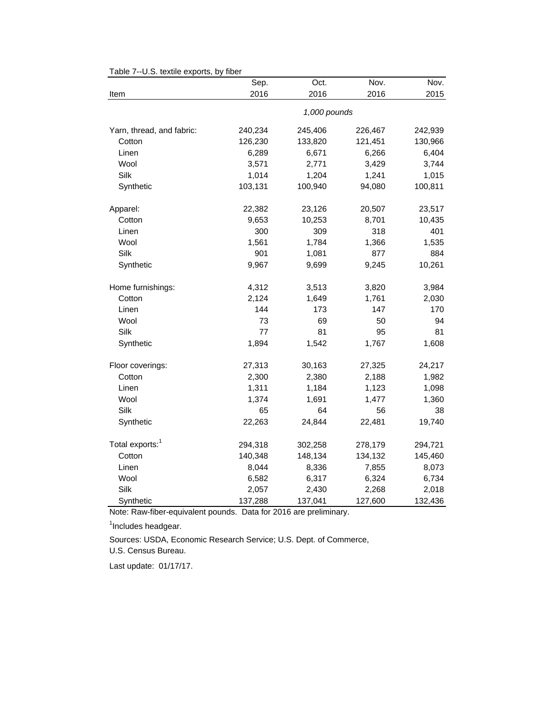| o.o. iovino oxporto,        | Sep.    | Oct.         | Nov.    | Nov.    |
|-----------------------------|---------|--------------|---------|---------|
| Item                        | 2016    | 2016         | 2016    | 2015    |
|                             |         | 1,000 pounds |         |         |
| Yarn, thread, and fabric:   | 240,234 | 245,406      | 226,467 | 242,939 |
| Cotton                      | 126,230 | 133,820      | 121,451 | 130,966 |
| Linen                       | 6,289   | 6,671        | 6,266   | 6,404   |
| Wool                        | 3,571   | 2,771        | 3,429   | 3,744   |
| Silk                        | 1,014   | 1,204        | 1,241   | 1,015   |
| Synthetic                   | 103,131 | 100,940      | 94,080  | 100,811 |
| Apparel:                    | 22,382  | 23,126       | 20,507  | 23,517  |
| Cotton                      | 9,653   | 10,253       | 8,701   | 10,435  |
| Linen                       | 300     | 309          | 318     | 401     |
| Wool                        | 1,561   | 1,784        | 1,366   | 1,535   |
| Silk                        | 901     | 1,081        | 877     | 884     |
| Synthetic                   | 9,967   | 9,699        | 9,245   | 10,261  |
| Home furnishings:           | 4,312   | 3,513        | 3,820   | 3,984   |
| Cotton                      | 2,124   | 1,649        | 1,761   | 2,030   |
| Linen                       | 144     | 173          | 147     | 170     |
| Wool                        | 73      | 69           | 50      | 94      |
| Silk                        | 77      | 81           | 95      | 81      |
| Synthetic                   | 1,894   | 1,542        | 1,767   | 1,608   |
| Floor coverings:            | 27,313  | 30,163       | 27,325  | 24,217  |
| Cotton                      | 2,300   | 2,380        | 2,188   | 1,982   |
| Linen                       | 1,311   | 1,184        | 1,123   | 1,098   |
| Wool                        | 1,374   | 1,691        | 1,477   | 1,360   |
| Silk                        | 65      | 64           | 56      | 38      |
| Synthetic                   | 22,263  | 24,844       | 22,481  | 19,740  |
| Total exports: <sup>1</sup> | 294,318 | 302,258      | 278,179 | 294,721 |
| Cotton                      | 140,348 | 148,134      | 134,132 | 145,460 |
| Linen                       | 8,044   | 8,336        | 7,855   | 8,073   |
| Wool                        | 6,582   | 6,317        | 6,324   | 6,734   |
| Silk                        | 2,057   | 2,430        | 2,268   | 2,018   |
| Synthetic                   | 137,288 | 137,041      | 127,600 | 132,436 |

Table 7--U.S. textile exports, by fiber

Note: Raw-fiber-equivalent pounds. Data for 2016 are preliminary.

<sup>1</sup>Includes headgear.

U.S. Census Bureau. Sources: USDA, Economic Research Service; U.S. Dept. of Commerce,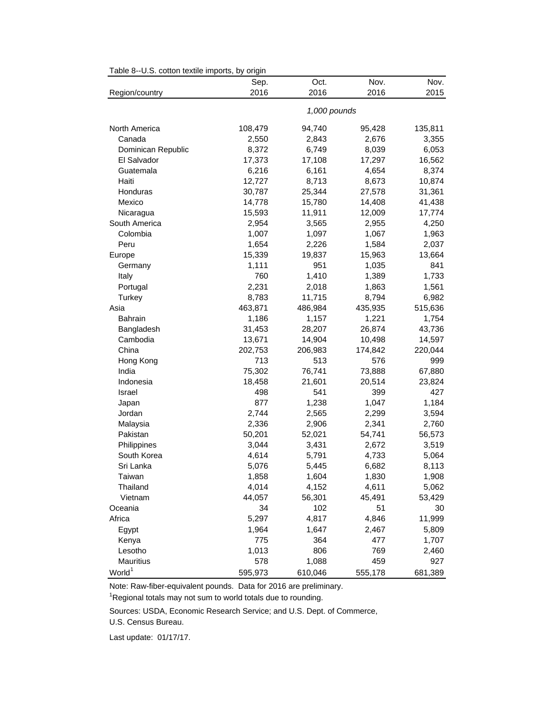|                    | Sep.    | Oct.         | Nov.    | Nov.    |
|--------------------|---------|--------------|---------|---------|
| Region/country     | 2016    | 2016         | 2016    | 2015    |
|                    |         | 1,000 pounds |         |         |
| North America      | 108,479 | 94,740       | 95,428  | 135,811 |
| Canada             | 2,550   | 2,843        | 2,676   | 3,355   |
| Dominican Republic | 8,372   | 6,749        | 8,039   | 6,053   |
| El Salvador        | 17,373  | 17,108       | 17,297  | 16,562  |
| Guatemala          | 6,216   | 6,161        | 4,654   | 8,374   |
| Haiti              | 12,727  | 8,713        | 8,673   | 10,874  |
| Honduras           | 30,787  | 25,344       | 27,578  | 31,361  |
| Mexico             | 14,778  | 15,780       | 14,408  | 41,438  |
| Nicaragua          | 15,593  | 11,911       | 12,009  | 17,774  |
| South America      | 2,954   | 3,565        | 2,955   | 4,250   |
| Colombia           | 1,007   | 1,097        | 1,067   | 1,963   |
| Peru               | 1,654   | 2,226        | 1,584   | 2,037   |
| Europe             | 15,339  | 19,837       | 15,963  | 13,664  |
| Germany            | 1,111   | 951          | 1,035   | 841     |
| Italy              | 760     | 1,410        | 1,389   | 1,733   |
| Portugal           | 2,231   | 2,018        | 1,863   | 1,561   |
| Turkey             | 8,783   | 11,715       | 8,794   | 6,982   |
| Asia               | 463,871 | 486,984      | 435,935 | 515,636 |
| Bahrain            | 1,186   | 1,157        | 1,221   | 1,754   |
| Bangladesh         | 31,453  | 28,207       | 26,874  | 43,736  |
| Cambodia           | 13,671  | 14,904       | 10,498  | 14,597  |
| China              | 202,753 | 206,983      | 174,842 | 220,044 |
| Hong Kong          | 713     | 513          | 576     | 999     |
| India              | 75,302  | 76,741       | 73,888  | 67,880  |
| Indonesia          | 18,458  | 21,601       | 20,514  | 23,824  |
| Israel             | 498     | 541          | 399     | 427     |
| Japan              | 877     | 1,238        | 1,047   | 1,184   |
| Jordan             | 2,744   | 2,565        | 2,299   | 3,594   |
| Malaysia           | 2,336   | 2,906        | 2,341   | 2,760   |
| Pakistan           | 50,201  | 52,021       | 54,741  | 56,573  |
| Philippines        | 3,044   | 3,431        | 2,672   | 3,519   |
| South Korea        | 4,614   | 5,791        | 4,733   | 5,064   |
| Sri Lanka          | 5,076   | 5,445        | 6,682   | 8,113   |
| Taiwan             | 1,858   | 1,604        | 1,830   | 1,908   |
| Thailand           | 4,014   | 4,152        | 4,611   | 5,062   |
| Vietnam            | 44,057  | 56,301       | 45,491  | 53,429  |
| Oceania            | 34      | 102          | 51      | 30      |
| Africa             | 5,297   | 4,817        | 4,846   | 11,999  |
| Egypt              | 1,964   | 1,647        | 2,467   | 5,809   |
| Kenya              | 775     | 364          | 477     | 1,707   |
| Lesotho            | 1,013   | 806          | 769     | 2,460   |
| Mauritius          | 578     | 1,088        | 459     | 927     |
| World <sup>1</sup> | 595,973 | 610,046      | 555,178 | 681,389 |

Table 8--U.S. cotton textile imports, by origin

Note: Raw-fiber-equivalent pounds. Data for 2016 are preliminary.

 $1$ Regional totals may not sum to world totals due to rounding.

Sources: USDA, Economic Research Service; and U.S. Dept. of Commerce,

U.S. Census Bureau.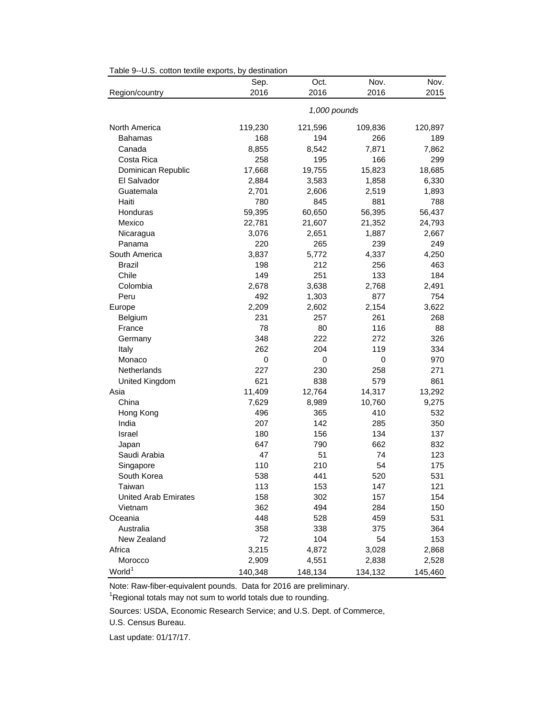| rable 9--0.3. Conton textile exports, by destination |         |              |           |         |
|------------------------------------------------------|---------|--------------|-----------|---------|
|                                                      | Sep.    | Oct.         | Nov.      | Nov.    |
| Region/country                                       | 2016    | 2016         | 2016      | 2015    |
|                                                      |         | 1,000 pounds |           |         |
| North America                                        | 119,230 | 121,596      | 109,836   | 120,897 |
| Bahamas                                              | 168     | 194          | 266       | 189     |
| Canada                                               | 8,855   | 8,542        | 7,871     | 7,862   |
| Costa Rica                                           | 258     | 195          | 166       | 299     |
| Dominican Republic                                   | 17,668  | 19,755       | 15,823    | 18,685  |
| El Salvador                                          | 2,884   | 3,583        | 1,858     | 6,330   |
| Guatemala                                            | 2,701   | 2,606        | 2,519     | 1,893   |
| Haiti                                                | 780     | 845          | 881       | 788     |
| Honduras                                             | 59,395  | 60,650       | 56,395    | 56,437  |
| Mexico                                               | 22,781  | 21,607       | 21,352    | 24,793  |
| Nicaragua                                            | 3,076   | 2,651        | 1,887     | 2,667   |
| Panama                                               | 220     | 265          | 239       | 249     |
| South America                                        | 3,837   | 5,772        | 4,337     | 4,250   |
| <b>Brazil</b>                                        | 198     | 212          | 256       | 463     |
| Chile                                                | 149     | 251          | 133       | 184     |
| Colombia                                             | 2,678   | 3,638        | 2,768     | 2,491   |
| Peru                                                 | 492     | 1,303        | 877       | 754     |
| Europe                                               | 2,209   | 2,602        | 2,154     | 3,622   |
| <b>Belgium</b>                                       | 231     | 257          | 261       | 268     |
| France                                               | 78      | 80           | 116       | 88      |
| Germany                                              | 348     | 222          | 272       | 326     |
| Italy                                                | 262     | 204          | 119       | 334     |
| Monaco                                               | 0       | 0            | $\pmb{0}$ | 970     |
| Netherlands                                          | 227     | 230          | 258       | 271     |
| United Kingdom                                       | 621     | 838          | 579       | 861     |
| Asia                                                 | 11,409  | 12,764       | 14,317    | 13,292  |
| China                                                | 7,629   | 8,989        | 10,760    | 9,275   |
| Hong Kong                                            | 496     | 365          | 410       | 532     |
| India                                                | 207     | 142          | 285       | 350     |
| Israel                                               | 180     | 156          | 134       | 137     |
| Japan                                                | 647     | 790          | 662       | 832     |
| Saudi Arabia                                         | 47      | 51           | 74        | 123     |
| Singapore                                            | 110     | 210          | 54        | 175     |
| South Korea                                          | 538     | 441          | 520       | 531     |
| Taiwan                                               | 113     | 153          | 147       | 121     |
| <b>United Arab Emirates</b>                          | 158     | 302          | 157       | 154     |
| Vietnam                                              | 362     | 494          | 284       | 150     |
| Oceania                                              | 448     | 528          | 459       | 531     |
| Australia                                            | 358     | 338          | 375       | 364     |
| New Zealand                                          | 72      | 104          | 54        | 153     |
| Africa                                               | 3,215   | 4,872        | 3,028     | 2,868   |
| Morocco                                              | 2,909   | 4,551        | 2,838     | 2,528   |
| World <sup>1</sup>                                   | 140,348 | 148,134      | 134,132   | 145,460 |

## Table 9--U.S. cotton textile exports, by destination

Note: Raw-fiber-equivalent pounds. Data for 2016 are preliminary.

 $1$ Regional totals may not sum to world totals due to rounding.

Sources: USDA, Economic Research Service; and U.S. Dept. of Commerce,

U.S. Census Bureau.